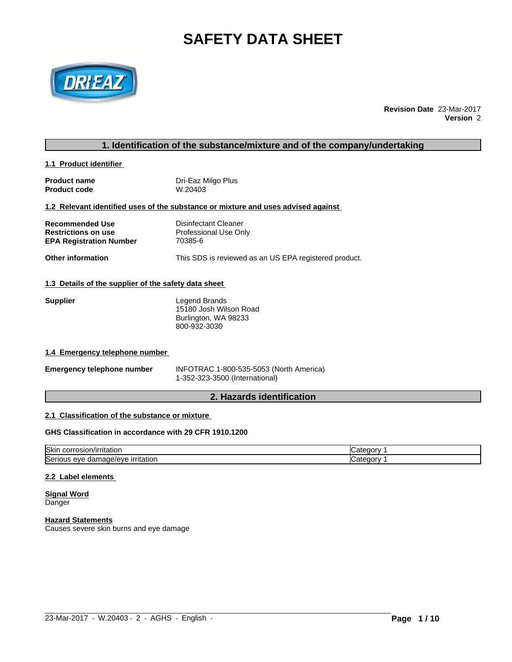# **SAFETY DATA SHEET**



**Revision Date** 23-Mar-2017 **Version** 2

# **1. Identification of the substance/mixture and of the company/undertaking**

# **1.1 Product identifier**

| <b>Product name</b> | Dri-Eaz Milgo Plus |
|---------------------|--------------------|
| <b>Product code</b> | W.20403            |

# **1.2 Relevant identified uses of the substance or mixture and uses advised against**

| Recommended Use         | Disinfectant Cleaner  |
|-------------------------|-----------------------|
| Restrictions on use     | Professional Use Only |
| EPA Registration Number | 70385-6               |

# **Other information** This SDS is reviewed as an US EPA registered product.

#### **1.3 Details of the supplier of the safety data sheet**

| <b>Supplier</b> | Legend Brands          |  |
|-----------------|------------------------|--|
|                 | 15180 Josh Wilson Road |  |
|                 | Burlington, WA 98233   |  |
|                 | 800-932-3030           |  |

# **1.4 Emergency telephone number**

| <b>Emergency telephone number</b> | INFOTRAC 1-800-535-5053 (North America) |
|-----------------------------------|-----------------------------------------|
|                                   | 1-352-323-3500 (International)          |

# **2. Hazards identification**

# **2.1 Classification of the substance or mixture**

# **GHS Classification in accordance with 29 CFR 1910.1200**

| <b>Skin</b><br>ı/ırrıtatıor<br>. USION/I*<br>COLL      | $\sim$<br>−uor: |
|--------------------------------------------------------|-----------------|
| Serious<br><b>irritation</b><br>mage/eve<br>eve<br>dar | eaor            |

#### **2.2 Label elements**

**Signal Word** Danger

#### **Hazard Statements**

Causes severe skin burns and eye damage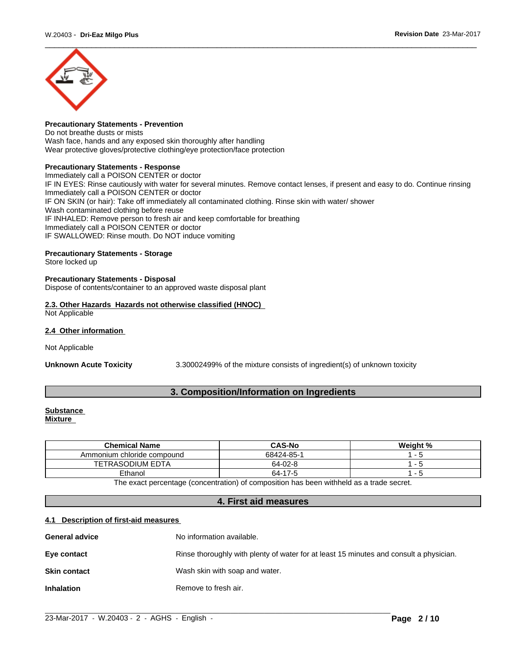

# **Precautionary Statements - Prevention**

Do not breathe dusts or mists Wash face, hands and any exposed skin thoroughly after handling Wear protective gloves/protective clothing/eye protection/face protection

# **Precautionary Statements - Response**

Immediately call a POISON CENTER or doctor IF IN EYES: Rinse cautiously with water for several minutes. Remove contact lenses, if present and easy to do. Continue rinsing Immediately call a POISON CENTER or doctor IF ON SKIN (or hair): Take off immediately all contaminated clothing. Rinse skin with water/ shower Wash contaminated clothing before reuse IF INHALED: Remove person to fresh air and keep comfortable for breathing Immediately call a POISON CENTER or doctor IF SWALLOWED: Rinse mouth. Do NOT induce vomiting

# **Precautionary Statements - Storage**

Store locked up

# **Precautionary Statements - Disposal**

Dispose of contents/container to an approved waste disposal plant

# **2.3. Other Hazards Hazards not otherwise classified (HNOC)** Not Applicable

#### **2.4 Other information**

Not Applicable

**Unknown Acute Toxicity** 3.30002499% of the mixture consists of ingredient(s) of unknown toxicity

# **3. Composition/Information on Ingredients**

#### **Substance Mixture**

| <b>Chemical Name</b>                                                                    | <b>CAS-No</b> | Weight % |  |  |
|-----------------------------------------------------------------------------------------|---------------|----------|--|--|
| Ammonium chloride compound                                                              | 68424-85-1    |          |  |  |
| TETRASODIUM EDTA                                                                        | 64-02-8       |          |  |  |
| Ethanol                                                                                 | 64-17-5       |          |  |  |
| The event presenters (concentration) of composition has been withheld as a trade occurs |               |          |  |  |

The exact percentage (concentration) of composition has been withheld as a trade secret.

# **4. First aid measures**

# **4.1 Description of first-aid measures**

| <b>General advice</b> | No information available.                                                              |
|-----------------------|----------------------------------------------------------------------------------------|
| Eye contact           | Rinse thoroughly with plenty of water for at least 15 minutes and consult a physician. |
| <b>Skin contact</b>   | Wash skin with soap and water.                                                         |
| <b>Inhalation</b>     | Remove to fresh air.                                                                   |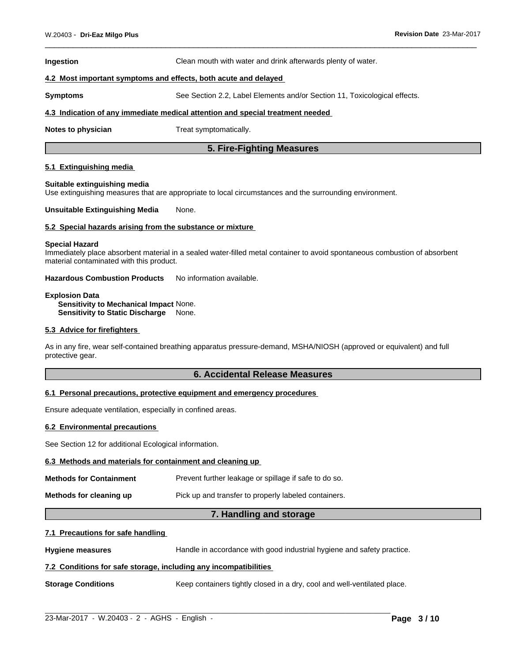#### **Ingestion** Clean mouth with water and drink afterwards plenty of water.

#### **4.2 Most important symptoms and effects, both acute and delayed**

**Symptoms** See Section 2.2, Label Elements and/or Section 11, Toxicological effects.

#### **4.3 Indication of any immediate medical attention and special treatment needed**

**Notes to physician** Treat symptomatically.

# **5. Fire-Fighting Measures**

### **5.1 Extinguishing media**

#### **Suitable extinguishing media**

Use extinguishing measures that are appropriate to local circumstances and the surrounding environment.

#### **Unsuitable Extinguishing Media** None.

#### **5.2 Special hazards arising from the substance or mixture**

#### **Special Hazard**

Immediately place absorbent material in a sealed water-filled metal container to avoid spontaneous combustion of absorbent material contaminated with this product.

**Hazardous Combustion Products** No information available.

# **Explosion Data**

**Sensitivity to Mechanical Impact** None. **Sensitivity to Static Discharge** None.

## **5.3 Advice for firefighters**

As in any fire, wear self-contained breathing apparatus pressure-demand, MSHA/NIOSH (approved or equivalent) and full protective gear.

# **6. Accidental Release Measures**

## **6.1 Personal precautions, protective equipment and emergency procedures**

Ensure adequate ventilation, especially in confined areas.

# **6.2 Environmental precautions**

See Section 12 for additional Ecological information.

#### **6.3 Methods and materials for containment and cleaning up**

| <b>Methods for Containment</b> | Prevent further leakage or spillage if safe to do so. |
|--------------------------------|-------------------------------------------------------|
|                                |                                                       |

## **Methods for cleaning up** Pick up and transfer to properly labeled containers.

# **7. Handling and storage**

#### **7.1 Precautions for safe handling**

**Hygiene measures** Handle in accordance with good industrial hygiene and safety practice.

# **7.2 Conditions for safe storage, including any incompatibilities**

**Storage Conditions** Keep containers tightly closed in a dry, cool and well-ventilated place.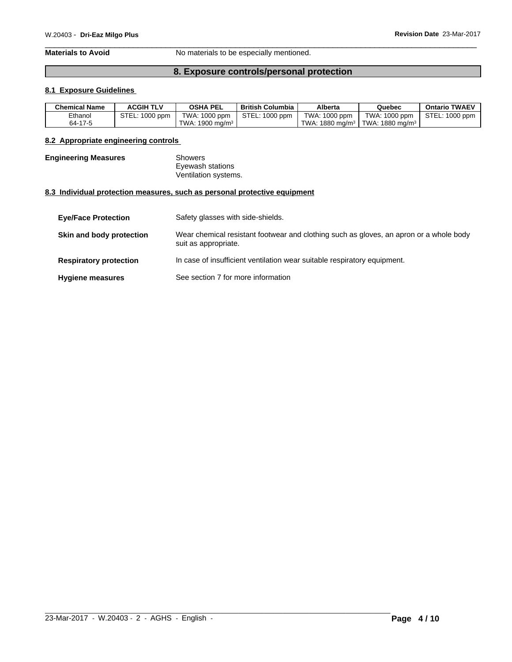**Materials to Avoid** No materials to be especially mentioned.

# **8. Exposure controls/personal protection**

# **8.1 Exposure Guidelines**

| <b>Chemical Name</b> | <b>ACGIH TLV</b>    | <b>OSHA PEL</b>              | <b>British Columbia</b> | Alberta                    | Quebec                          | <b>Ontario TWAEV</b> |
|----------------------|---------------------|------------------------------|-------------------------|----------------------------|---------------------------------|----------------------|
| Ethanol              | STEL:<br>$1000$ ppm | TWA: 1000 ppm                | STEL: 1000 ppm          | $\cdot$ 1000 ppm<br>TWA: . | TWA: 1000 ppm                   | STEL: 1000 ppm       |
| 64-17-5              |                     | TWA: $1900 \text{ ma/m}^3$ . |                         | 1880 mg/m $3$<br>TWA:      | $I$ TWA: 1880 mg/m <sup>3</sup> |                      |

# **8.2 Appropriate engineering controls**

| <b>Engineering Measures</b> | Showers              |  |
|-----------------------------|----------------------|--|
|                             | Eyewash stations     |  |
|                             | Ventilation systems. |  |

# **8.3 Individual protection measures, such as personal protective equipment**

| <b>Eye/Face Protection</b>    | Safety glasses with side-shields.                                                                              |
|-------------------------------|----------------------------------------------------------------------------------------------------------------|
| Skin and body protection      | Wear chemical resistant footwear and clothing such as gloves, an apron or a whole body<br>suit as appropriate. |
| <b>Respiratory protection</b> | In case of insufficient ventilation wear suitable respiratory equipment.                                       |
| <b>Hygiene measures</b>       | See section 7 for more information                                                                             |

 $\_$  ,  $\_$  ,  $\_$  ,  $\_$  ,  $\_$  ,  $\_$  ,  $\_$  ,  $\_$  ,  $\_$  ,  $\_$  ,  $\_$  ,  $\_$  ,  $\_$  ,  $\_$  ,  $\_$  ,  $\_$  ,  $\_$  ,  $\_$  ,  $\_$  ,  $\_$  ,  $\_$  ,  $\_$  ,  $\_$  ,  $\_$  ,  $\_$  ,  $\_$  ,  $\_$  ,  $\_$  ,  $\_$  ,  $\_$  ,  $\_$  ,  $\_$  ,  $\_$  ,  $\_$  ,  $\_$  ,  $\_$  ,  $\_$  ,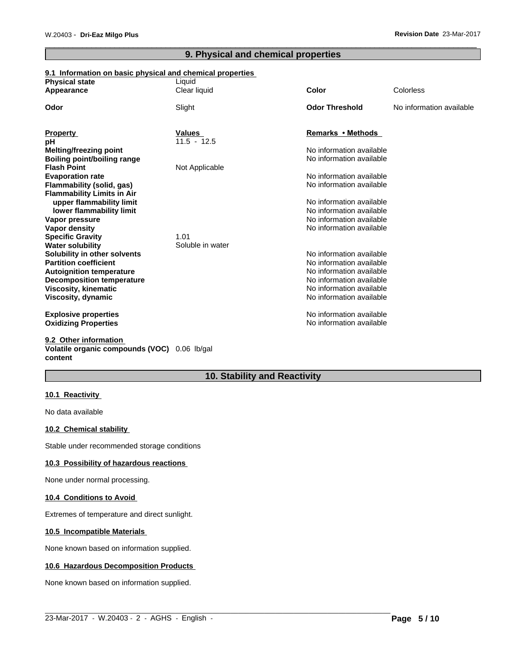# **9. Physical and chemical properties**

# **9.1 Information on basic physical and chemical properties**

| <b>Physical state</b>                                    | Liquid           | <b>Color</b>                                         | Colorless                |
|----------------------------------------------------------|------------------|------------------------------------------------------|--------------------------|
| Appearance                                               | Clear liquid     |                                                      |                          |
| Odor                                                     | Slight           | <b>Odor Threshold</b>                                | No information available |
| <b>Property</b>                                          | <b>Values</b>    | Remarks • Methods                                    |                          |
| рH                                                       | $11.5 - 12.5$    |                                                      |                          |
| Melting/freezing point                                   |                  | No information available                             |                          |
| Boiling point/boiling range                              |                  | No information available                             |                          |
| <b>Flash Point</b>                                       | Not Applicable   |                                                      |                          |
| <b>Evaporation rate</b>                                  |                  | No information available                             |                          |
| Flammability (solid, gas)                                |                  | No information available                             |                          |
| <b>Flammability Limits in Air</b>                        |                  |                                                      |                          |
| upper flammability limit                                 |                  | No information available                             |                          |
| lower flammability limit                                 |                  | No information available                             |                          |
| Vapor pressure                                           |                  | No information available                             |                          |
| <b>Vapor density</b>                                     |                  | No information available                             |                          |
| <b>Specific Gravity</b>                                  | 1.01             |                                                      |                          |
| <b>Water solubility</b>                                  | Soluble in water |                                                      |                          |
| Solubility in other solvents                             |                  | No information available                             |                          |
| <b>Partition coefficient</b>                             |                  | No information available                             |                          |
| <b>Autoignition temperature</b>                          |                  | No information available<br>No information available |                          |
| <b>Decomposition temperature</b><br>Viscosity, kinematic |                  | No information available                             |                          |
| Viscosity, dynamic                                       |                  | No information available                             |                          |
|                                                          |                  |                                                      |                          |
| <b>Explosive properties</b>                              |                  | No information available                             |                          |
| <b>Oxidizing Properties</b>                              |                  | No information available                             |                          |
| 9.2 Other information                                    |                  |                                                      |                          |
|                                                          | A1               |                                                      |                          |

# **Volatile organic compounds (VOC)** 0.06 lb/gal **content**

# **10. Stability and Reactivity**

 $\_$  ,  $\_$  ,  $\_$  ,  $\_$  ,  $\_$  ,  $\_$  ,  $\_$  ,  $\_$  ,  $\_$  ,  $\_$  ,  $\_$  ,  $\_$  ,  $\_$  ,  $\_$  ,  $\_$  ,  $\_$  ,  $\_$  ,  $\_$  ,  $\_$  ,  $\_$  ,  $\_$  ,  $\_$  ,  $\_$  ,  $\_$  ,  $\_$  ,  $\_$  ,  $\_$  ,  $\_$  ,  $\_$  ,  $\_$  ,  $\_$  ,  $\_$  ,  $\_$  ,  $\_$  ,  $\_$  ,  $\_$  ,  $\_$  ,

# **10.1 Reactivity**

No data available

# **10.2 Chemical stability**

Stable under recommended storage conditions

# **10.3 Possibility of hazardous reactions**

None under normal processing.

# **10.4 Conditions to Avoid**

Extremes of temperature and direct sunlight.

# **10.5 Incompatible Materials**

None known based on information supplied.

# **10.6 Hazardous Decomposition Products**

None known based on information supplied.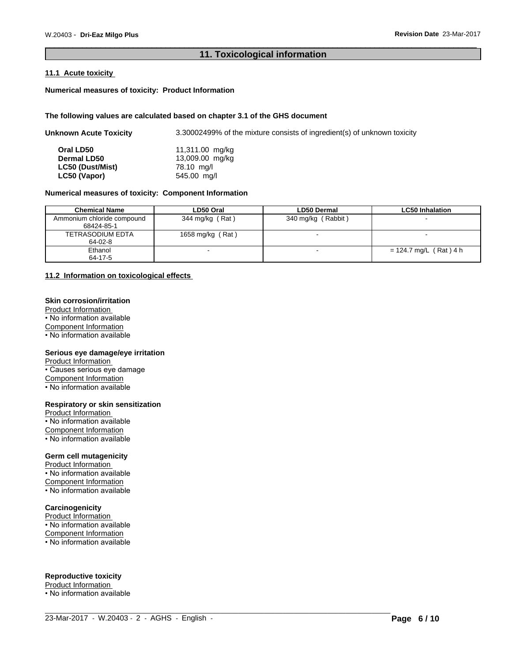# **11. Toxicological information**

# **11.1 Acute toxicity**

# **Numerical measures of toxicity: Product Information**

#### **The following values are calculated based on chapter 3.1 of the GHS document**

| <b>Unknown Acute Toxicity</b> | 3.30002499% of the mixture consists of ingredient(s) of unknown toxicity |
|-------------------------------|--------------------------------------------------------------------------|
| Oral LD50                     | 11,311.00 mg/kg                                                          |
| <b>Dermal LD50</b>            | 13,009.00 mg/kg                                                          |
| LC50 (Dust/Mist)              | 78.10 mg/l                                                               |
| LC50 (Vapor)                  | 545.00 mg/l                                                              |

# **Numerical measures of toxicity: Component Information**

| <b>Chemical Name</b>       | LD50 Oral        | <b>LD50 Dermal</b> | <b>LC50 Inhalation</b>   |
|----------------------------|------------------|--------------------|--------------------------|
| Ammonium chloride compound | 344 mg/kg (Rat)  | 340 mg/kg (Rabbit) | $\sim$                   |
| 68424-85-1                 |                  |                    |                          |
| TETRASODIUM EDTA           | 1658 mg/kg (Rat) |                    |                          |
| 64-02-8                    |                  |                    |                          |
| Ethanol                    |                  |                    | $= 124.7$ mg/L (Rat) 4 h |
| 64-17-5                    |                  |                    |                          |

# **11.2 Information on toxicologicaleffects**

# **Skin corrosion/irritation**

Product Information • No information available Component Information • No information available

#### **Serious eye damage/eye irritation**

Product Information • Causes serious eye damage Component Information • No information available

## **Respiratory or skin sensitization**

Product Information • No information available Component Information • No information available

# **Germ cell mutagenicity**

Product Information • No information available Component Information

• No information available

# **Carcinogenicity**

Product Information • No information available Component Information • No information available

### **Reproductive toxicity**

Product Information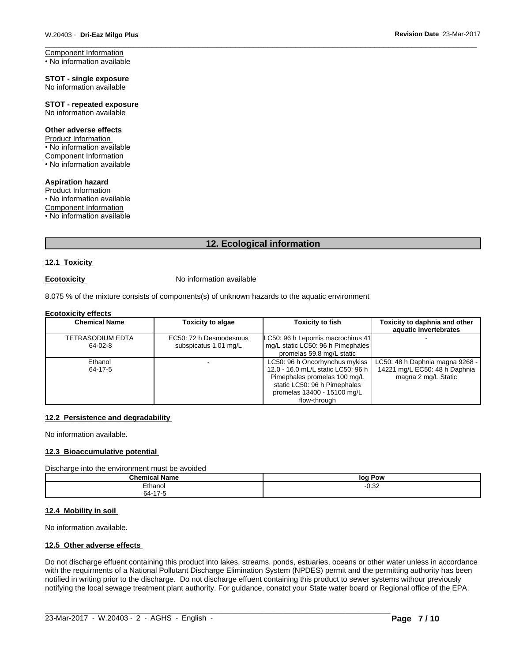Component Information • No information available

**STOT - single exposure** No information available

**STOT - repeated exposure** No information available

#### **Other adverse effects**

Product Information • No information available Component Information • No information available

**Aspiration hazard**

Product Information • No information available Component Information • No information available

# **12. Ecological information**

# **12.1 Toxicity**

**Ecotoxicity No information available** 

8.075 % of the mixture consists of components(s) of unknown hazards to the aquatic environment

# **Ecotoxicity effects**

| <b>Chemical Name</b>        | <b>Toxicity to algae</b>                        | <b>Toxicity to fish</b>                                                                                                                                                             | Toxicity to daphnia and other<br>aquatic invertebrates                                  |
|-----------------------------|-------------------------------------------------|-------------------------------------------------------------------------------------------------------------------------------------------------------------------------------------|-----------------------------------------------------------------------------------------|
| TETRASODIUM EDTA<br>64-02-8 | EC50: 72 h Desmodesmus<br>subspicatus 1.01 mg/L | LC50: 96 h Lepomis macrochirus 41<br>mq/L static LC50: 96 h Pimephales  <br>promelas 59.8 mg/L static                                                                               |                                                                                         |
| Ethanol<br>64-17-5          | -                                               | LC50: 96 h Oncorhynchus mykiss<br>12.0 - 16.0 mL/L static LC50: 96 h<br>Pimephales promelas 100 mg/L<br>static LC50: 96 h Pimephales<br>promelas 13400 - 15100 mg/L<br>flow-through | LC50: 48 h Daphnia magna 9268 -<br>14221 mg/L EC50: 48 h Daphnia<br>magna 2 mg/L Static |

# **12.2 Persistence and degradability**

No information available.

# **12.3 Bioaccumulative potential**

Discharge into the environment must be avoided

| Cham.<br>- -<br>Name      | log Pow    |
|---------------------------|------------|
| ⊤+hanoi                   | ົດ<br>∿.⊽∠ |
| $4 -$<br>-<br>64-′<br>. . |            |

#### **12.4 Mobility in soil**

No information available.

# **12.5 Other adverse effects**

Do not discharge effuent containing this product into lakes, streams, ponds, estuaries, oceans or other water unless in accordance with the requirments of a National Pollutant Discharge Elimination System (NPDES) permit and the permitting authority has been notified in writing prior to the discharge. Do not discharge effuent containing this product to sewer systems withour previously notifying the local sewage treatment plant authority. For guidance, conatct your State water board or Regional office of the EPA.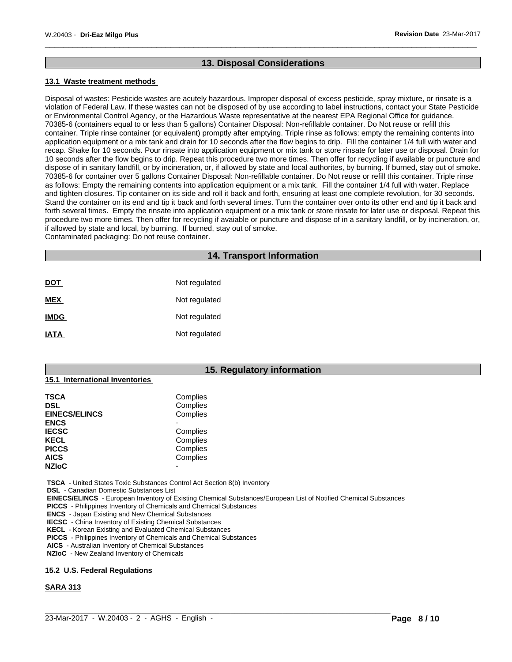# **13. Disposal Considerations**

# **13.1 Waste treatment methods**

Disposal of wastes: Pesticide wastes are acutely hazardous. Improper disposal of excess pesticide, spray mixture, or rinsate is a violation of Federal Law. If these wastes can not be disposed of by use according to label instructions, contact your State Pesticide or Environmental Control Agency, or the Hazardous Waste representative at the nearest EPA Regional Office for guidance. 70385-6 (containers equal to or less than 5 gallons) Container Disposal: Non-refillable container. Do Not reuse or refillthis container. Triple rinse container (or equivalent) promptly after emptying. Triple rinse as follows: empty the remaining contents into application equipment or a mix tank and drain for 10 seconds after the flow begins to drip. Fill the container 1/4 full with water and recap. Shake for 10 seconds. Pour rinsate into application equipment or mix tank or store rinsate for later use or disposal. Drain for 10 seconds after the flow begins to drip. Repeat this procedure two more times. Then offer for recycling if available or puncture and dispose of in sanitary landfill, or by incineration, or, if allowed by state and local authorites, by burning. If burned, stay out of smoke. 70385-6 for container over 5 gallons Container Disposal: Non-refillable container. Do Not reuse or refillthis container. Triple rinse as follows: Empty the remaining contents into application equipment or a mix tank. Fill the container 1/4 full with water. Replace and tighten closures. Tip container on its side and roll it back and forth, ensuring at least one complete revolution, for 30 seconds. Stand the container on its end and tip it back and forth several times. Turn the container over onto its other end and tip it back and forth several times. Empty the rinsate into application equipment or a mix tank or store rinsate for later use or disposal. Repeat this procedure two more times. Then offer for recycling if avaiable or puncture and dispose of in a sanitary landfill, or by incineration, or, if allowed by state and local, by burning. If burned, stay out of smoke. Contaminated packaging: Do not reuse container.

# **14. Transport Information**

| <u>DOT</u>  | Not regulated |
|-------------|---------------|
| <b>MEX</b>  | Not regulated |
| <b>IMDG</b> | Not regulated |
| <b>IATA</b> | Not regulated |

# **15. Regulatory information**

| <b>TSCA</b>          | Complies |
|----------------------|----------|
| <b>DSL</b>           | Complies |
| <b>EINECS/ELINCS</b> | Complies |
| <b>ENCS</b>          |          |
| <b>IECSC</b>         | Complies |
| <b>KECL</b>          | Complies |
| <b>PICCS</b>         | Complies |
| <b>AICS</b>          | Complies |
| <b>NZIOC</b>         |          |

 **TSCA** - United States Toxic Substances Control Act Section 8(b) Inventory

 **DSL** - Canadian Domestic Substances List

**15.1 International Inventories**

 **EINECS/ELINCS** - European Inventory of Existing Chemical Substances/European List of Notified Chemical Substances

 $\_$  ,  $\_$  ,  $\_$  ,  $\_$  ,  $\_$  ,  $\_$  ,  $\_$  ,  $\_$  ,  $\_$  ,  $\_$  ,  $\_$  ,  $\_$  ,  $\_$  ,  $\_$  ,  $\_$  ,  $\_$  ,  $\_$  ,  $\_$  ,  $\_$  ,  $\_$  ,  $\_$  ,  $\_$  ,  $\_$  ,  $\_$  ,  $\_$  ,  $\_$  ,  $\_$  ,  $\_$  ,  $\_$  ,  $\_$  ,  $\_$  ,  $\_$  ,  $\_$  ,  $\_$  ,  $\_$  ,  $\_$  ,  $\_$  ,

 **PICCS** - Philippines Inventory of Chemicals and Chemical Substances

 **ENCS** - Japan Existing and New Chemical Substances

 **IECSC** - China Inventory of Existing Chemical Substances

 **KECL** - Korean Existing and Evaluated Chemical Substances

 **PICCS** - Philippines Inventory of Chemicals and Chemical Substances

 **AICS** - Australian Inventory of Chemical Substances

 **NZIoC** - New Zealand Inventory of Chemicals

# **15.2 U.S. Federal Regulations**

# **SARA 313**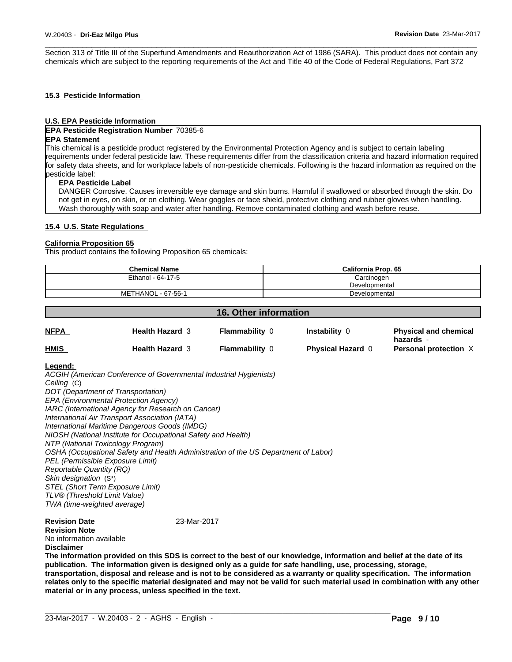Section 313 of Title III of the Superfund Amendments and Reauthorization Act of 1986 (SARA). This product does not contain any chemicals which are subject to the reporting requirements of the Act and Title 40 of the Code of Federal Regulations, Part 372

# **15.3 Pesticide Information**

# **U.S. EPA Pesticide Information**

## **EPA Pesticide Registration Number** 70385-6

#### **EPA Statement**

This chemical is a pesticide product registered by the Environmental Protection Agency and is subject to certain labeling requirements under federal pesticide law. These requirements differ from the classification criteria and hazard information required for safety data sheets, and for workplace labels of non-pesticide chemicals. Following is the hazard information as required on the pesticide label:

#### **EPA Pesticide Label**

DANGER Corrosive. Causes irreversible eye damage and skin burns. Harmful if swallowed or absorbed through the skin. Do not get in eyes, on skin, or on clothing. Wear goggles or face shield, protective clothing and rubber gloves when handling. Wash thoroughly with soap and water after handling. Remove contaminated clothing and wash before reuse.

#### **15.4 U.S. State Regulations**

# **California Proposition 65**

This product contains the following Proposition 65 chemicals:

| <b>Chemical Name</b>      | California Prop. 65 |
|---------------------------|---------------------|
| Ethanol - 64-17-5         | Carcinogen          |
|                           | Developmental       |
| <b>METHANOL - 67-56-1</b> | Developmental       |

| 16. Other information |                        |                       |                          |                                           |  |
|-----------------------|------------------------|-----------------------|--------------------------|-------------------------------------------|--|
| <b>NFPA</b>           | <b>Health Hazard 3</b> | <b>Flammability 0</b> | <b>Instability 0</b>     | <b>Physical and chemical</b><br>hazards - |  |
| <b>HMIS</b>           | <b>Health Hazard 3</b> | <b>Flammability 0</b> | <b>Physical Hazard 0</b> | Personal protection X                     |  |

# **Legend:**

*ACGIH (American Conference of Governmental Industrial Hygienists) Ceiling* (C) *DOT (Department of Transportation) EPA (Environmental Protection Agency) IARC (International Agency for Research on Cancer) International Air Transport Association (IATA) International Maritime Dangerous Goods (IMDG) NIOSH (National Institute for Occupational Safety and Health) NTP (National Toxicology Program) OSHA (Occupational Safety and Health Administration of the US Department of Labor) PEL (Permissible Exposure Limit) Reportable Quantity (RQ) Skin designation* (S\*) *STEL (Short Term Exposure Limit) TLV® (Threshold Limit Value) TWA (time-weighted average)*

**Revision Date** 23-Mar-2017 **Revision Note** No information available **Disclaimer**

The information provided on this SDS is correct to the best of our knowledge, information and belief at the date of its **publication. The information given isdesigned only as a guide for safe handling, use, processing, storage,** transportation, disposal and release and is not to be considered as a warranty or quality specification. The information relates only to the specific material designated and may not be valid for such material used in combination with any other **material or in any process,unless specified in the text.**